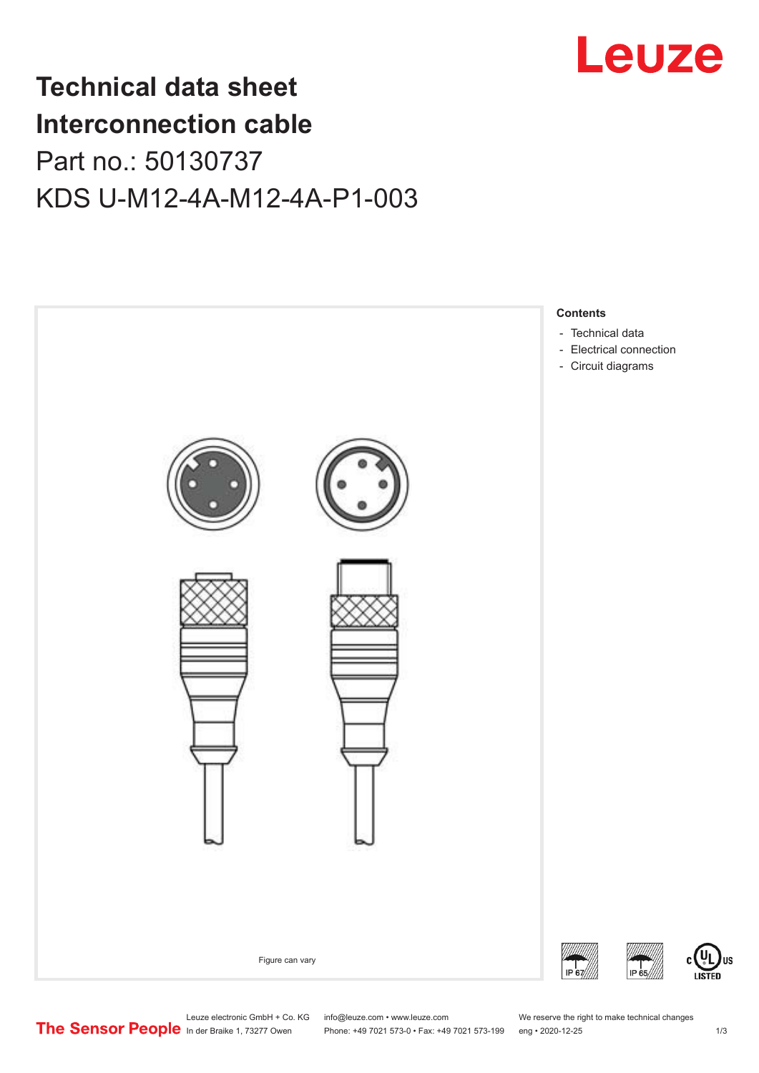

## **Technical data sheet Interconnection cable** Part no.: 50130737 KDS U-M12-4A-M12-4A-P1-003



Leuze electronic GmbH + Co. KG info@leuze.com • www.leuze.com We reserve the right to make technical changes<br>
The Sensor People in der Braike 1, 73277 Owen Phone: +49 7021 573-0 • Fax: +49 7021 573-199 eng • 2020-12-25

Phone: +49 7021 573-0 • Fax: +49 7021 573-199 eng • 2020-12-25 1 2020-12-25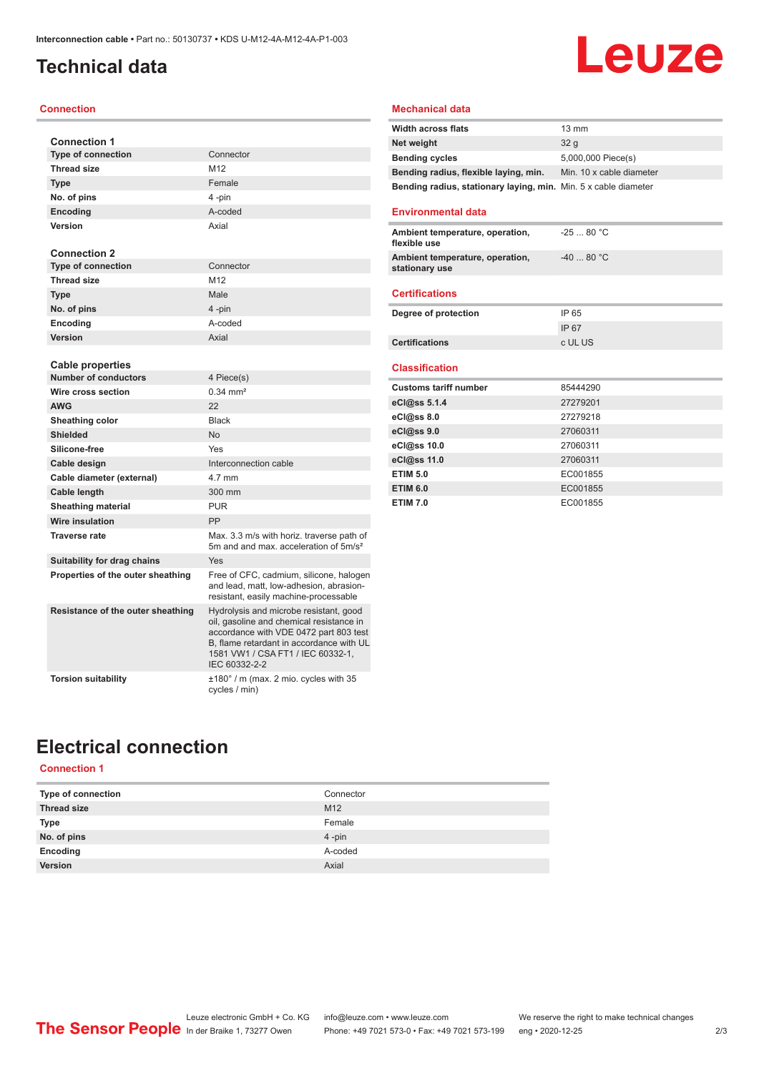### <span id="page-1-0"></span>**Technical data**

#### **Connection**

| <b>Connection 1</b>               |                                                                                                                                                                                                                                |
|-----------------------------------|--------------------------------------------------------------------------------------------------------------------------------------------------------------------------------------------------------------------------------|
| <b>Type of connection</b>         | Connector                                                                                                                                                                                                                      |
| <b>Thread size</b>                | M12                                                                                                                                                                                                                            |
| <b>Type</b>                       | Female                                                                                                                                                                                                                         |
| No. of pins                       | 4-pin                                                                                                                                                                                                                          |
| <b>Encoding</b>                   | A-coded                                                                                                                                                                                                                        |
| Version                           | Axial                                                                                                                                                                                                                          |
|                                   |                                                                                                                                                                                                                                |
| <b>Connection 2</b>               |                                                                                                                                                                                                                                |
| <b>Type of connection</b>         | Connector                                                                                                                                                                                                                      |
| <b>Thread size</b>                | M <sub>12</sub>                                                                                                                                                                                                                |
| <b>Type</b>                       | Male                                                                                                                                                                                                                           |
| No. of pins                       | 4-pin                                                                                                                                                                                                                          |
| Encoding                          | A-coded                                                                                                                                                                                                                        |
| Version                           | Axial                                                                                                                                                                                                                          |
|                                   |                                                                                                                                                                                                                                |
| Cable properties                  |                                                                                                                                                                                                                                |
| <b>Number of conductors</b>       | 4 Piece(s)                                                                                                                                                                                                                     |
| Wire cross section                | $0.34 \, \text{mm}^2$                                                                                                                                                                                                          |
| <b>AWG</b>                        | 22                                                                                                                                                                                                                             |
| Sheathing color                   | <b>Black</b>                                                                                                                                                                                                                   |
| <b>Shielded</b>                   | <b>No</b>                                                                                                                                                                                                                      |
| Silicone-free                     | Yes                                                                                                                                                                                                                            |
| Cable design                      | Interconnection cable                                                                                                                                                                                                          |
| Cable diameter (external)         | 4.7 mm                                                                                                                                                                                                                         |
| Cable length                      | 300 mm                                                                                                                                                                                                                         |
| <b>Sheathing material</b>         | <b>PUR</b>                                                                                                                                                                                                                     |
| Wire insulation                   | PP                                                                                                                                                                                                                             |
| <b>Traverse rate</b>              | Max. 3.3 m/s with horiz. traverse path of<br>5m and and max, acceleration of 5m/s <sup>2</sup>                                                                                                                                 |
| Suitability for drag chains       | Yes                                                                                                                                                                                                                            |
| Properties of the outer sheathing | Free of CFC, cadmium, silicone, halogen<br>and lead, matt, low-adhesion, abrasion-<br>resistant, easily machine-processable                                                                                                    |
| Resistance of the outer sheathing | Hydrolysis and microbe resistant, good<br>oil, gasoline and chemical resistance in<br>accordance with VDE 0472 part 803 test<br>B, flame retardant in accordance with UL<br>1581 VW1 / CSA FT1 / IEC 60332-1,<br>IEC 60332-2-2 |
| <b>Torsion suitability</b>        | ±180° / m (max. 2 mio. cycles with 35<br>cycles / min)                                                                                                                                                                         |

#### **Mechanical data**

| <b>Width across flats</b>                                       | $13 \text{ mm}$          |
|-----------------------------------------------------------------|--------------------------|
| Net weight                                                      | 32 <sub>a</sub>          |
| <b>Bending cycles</b>                                           | 5,000,000 Piece(s)       |
| Bending radius, flexible laying, min.                           | Min. 10 x cable diameter |
| Bending radius, stationary laying, min. Min. 5 x cable diameter |                          |

**Leuze** 

#### **Environmental data**

| Ambient temperature, operation,<br>flexible use   | $-2580 °C$ |
|---------------------------------------------------|------------|
| Ambient temperature, operation,<br>stationary use | $-4080 °C$ |
|                                                   |            |

### **Certifications**

| Degree of protection  | IP 65   |
|-----------------------|---------|
|                       | IP 67   |
| <b>Certifications</b> | c UL US |

#### **Classification**

| <b>Customs tariff number</b> | 85444290 |
|------------------------------|----------|
| eCl@ss 5.1.4                 | 27279201 |
| $eC/\omega$ ss 8.0           | 27279218 |
| eCl@ss 9.0                   | 27060311 |
| eCl@ss 10.0                  | 27060311 |
| eCl@ss 11.0                  | 27060311 |
| <b>ETIM 5.0</b>              | EC001855 |
| <b>ETIM 6.0</b>              | EC001855 |
| <b>ETIM 7.0</b>              | EC001855 |

### **Electrical connection**

### **Connection 1**

| Type of connection | Connector       |
|--------------------|-----------------|
| <b>Thread size</b> | M <sub>12</sub> |
| Type               | Female          |
| No. of pins        | $4 - pin$       |
| Encoding           | A-coded         |
| Version            | Axial           |